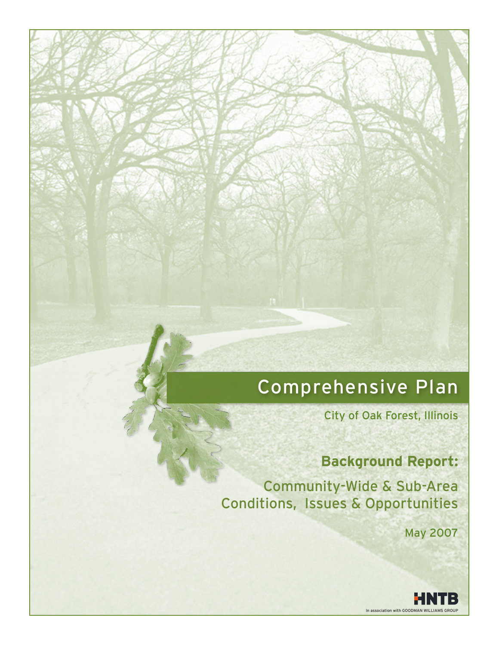# Comprehensive Plan

City of Oak Forest, Illinois

## **Background Report:**

Community-Wide & Sub-Area Conditions, Issues & Opportunities

May 2007

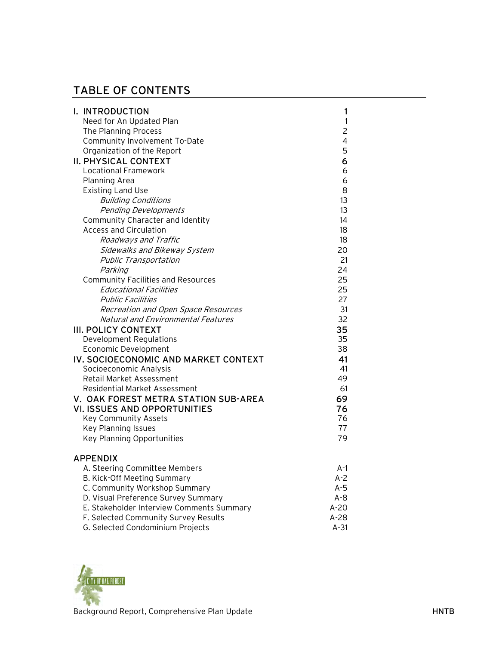## TABLE OF CONTENTS

| I. INTRODUCTION                           | 1              |
|-------------------------------------------|----------------|
| Need for An Updated Plan                  | $\mathbf{1}$   |
| The Planning Process                      | $\overline{c}$ |
| Community Involvement To-Date             | 4              |
| Organization of the Report                | 5              |
| <b>II. PHYSICAL CONTEXT</b>               | 6              |
| <b>Locational Framework</b>               | 6              |
| Planning Area                             | 6              |
| <b>Existing Land Use</b>                  | 8              |
| <b>Building Conditions</b>                | 13             |
| <b>Pending Developments</b>               | 13             |
| Community Character and Identity          | 14             |
| <b>Access and Circulation</b>             | 18             |
| Roadways and Traffic                      | 18             |
| Sidewalks and Bikeway System              | 20             |
| Public Transportation                     | 21             |
| Parking                                   | 24             |
| <b>Community Facilities and Resources</b> | 25             |
| <b>Educational Facilities</b>             | 25             |
| <b>Public Facilities</b>                  | 27             |
| Recreation and Open Space Resources       | 31             |
| Natural and Environmental Features        | 32             |
| <b>III. POLICY CONTEXT</b>                | 35             |
| <b>Development Regulations</b>            | 35             |
| Economic Development                      | 38             |
| IV. SOCIOECONOMIC AND MARKET CONTEXT      | 41             |
| Socioeconomic Analysis                    | 41             |
| Retail Market Assessment                  | 49             |
| <b>Residential Market Assessment</b>      | 61             |
| V. OAK FOREST METRA STATION SUB-AREA      | 69             |
| <b>VI. ISSUES AND OPPORTUNITIES</b>       | 76             |
| <b>Key Community Assets</b>               | 76             |
| Key Planning Issues                       | 77             |
| <b>Key Planning Opportunities</b>         | 79             |
| <b>APPENDIX</b>                           |                |
| A. Steering Committee Members             | A-1            |
| B. Kick-Off Meeting Summary               | $A-2$          |
| C. Community Workshop Summary             | $A-5$          |
| D. Visual Preference Survey Summary       | $A - 8$        |
| E. Stakeholder Interview Comments Summary | $A-20$         |
| F. Selected Community Survey Results      | A-28           |

G. Selected Condominium Projects A-31

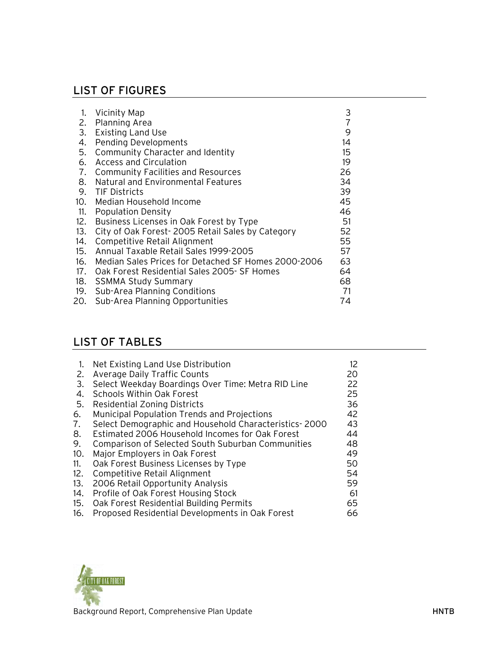## LIST OF FIGURES

| 1.  | Vicinity Map                                        | 3  |
|-----|-----------------------------------------------------|----|
| 2.  | Planning Area                                       | 7  |
| 3.  | <b>Existing Land Use</b>                            | 9  |
| 4.  | <b>Pending Developments</b>                         | 14 |
| 5.  | Community Character and Identity                    | 15 |
| 6.  | Access and Circulation                              | 19 |
| 7.  | <b>Community Facilities and Resources</b>           | 26 |
| 8.  | Natural and Environmental Features                  | 34 |
| 9.  | TIF Districts                                       | 39 |
| 10. | Median Household Income                             | 45 |
| 11. | <b>Population Density</b>                           | 46 |
| 12. | Business Licenses in Oak Forest by Type             | 51 |
| 13. | City of Oak Forest-2005 Retail Sales by Category    | 52 |
| 14. | Competitive Retail Alignment                        | 55 |
| 15. | Annual Taxable Retail Sales 1999-2005               | 57 |
| 16. | Median Sales Prices for Detached SF Homes 2000-2006 | 63 |
| 17. | Oak Forest Residential Sales 2005- SF Homes         | 64 |
| 18. | <b>SSMMA Study Summary</b>                          | 68 |
| 19. | Sub-Area Planning Conditions                        | 71 |
| 20. | Sub-Area Planning Opportunities                     | 74 |

## LIST OF TABLES

| 1.  | Net Existing Land Use Distribution                       | 12 |
|-----|----------------------------------------------------------|----|
| 2.  | Average Daily Traffic Counts                             | 20 |
| 3.  | Select Weekday Boardings Over Time: Metra RID Line       | 22 |
| 4.  | <b>Schools Within Oak Forest</b>                         | 25 |
| 5.  | Residential Zoning Districts                             | 36 |
| 6.  | <b>Municipal Population Trends and Projections</b>       | 42 |
| 7.  | Select Demographic and Household Characteristics-2000    | 43 |
| 8.  | Estimated 2006 Household Incomes for Oak Forest          | 44 |
| 9.  | <b>Comparison of Selected South Suburban Communities</b> | 48 |
| 10. | Major Employers in Oak Forest                            | 49 |
| 11. | Oak Forest Business Licenses by Type                     | 50 |
| 12. | Competitive Retail Alignment                             | 54 |
| 13. | 2006 Retail Opportunity Analysis                         | 59 |
| 14. | Profile of Oak Forest Housing Stock                      | 61 |
| 15. | Oak Forest Residential Building Permits                  | 65 |
| 16. | Proposed Residential Developments in Oak Forest          | 66 |

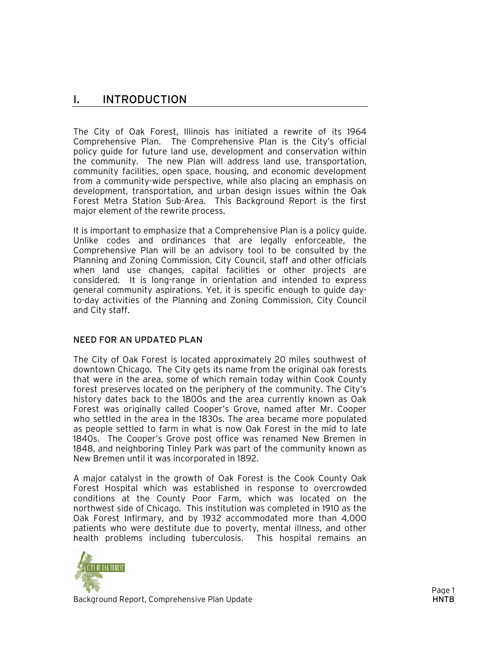### I. INTRODUCTION

The City of Oak Forest, Illinois has initiated a rewrite of its 1964 Comprehensive Plan. The Comprehensive Plan is the City's official policy guide for future land use, development and conservation within the community. The new Plan will address land use, transportation, community facilities, open space, housing, and economic development from a community-wide perspective, while also placing an emphasis on development, transportation, and urban design issues within the Oak Forest Metra Station Sub-Area. This Background Report is the first major element of the rewrite process.

It is important to emphasize that a Comprehensive Plan is a policy guide. Unlike codes and ordinances that are legally enforceable, the Comprehensive Plan will be an advisory tool to be consulted by the Planning and Zoning Commission, City Council, staff and other officials when land use changes, capital facilities or other projects are considered. It is long-range in orientation and intended to express general community aspirations. Yet, it is specific enough to guide dayto-day activities of the Planning and Zoning Commission, City Council and City staff.

#### NEED FOR AN UPDATED PLAN

The City of Oak Forest is located approximately 20 miles southwest of downtown Chicago. The City gets its name from the original oak forests that were in the area, some of which remain today within Cook County forest preserves located on the periphery of the community. The City's history dates back to the 1800s and the area currently known as Oak Forest was originally called Cooper's Grove, named after Mr. Cooper who settled in the area in the 1830s. The area became more populated as people settled to farm in what is now Oak Forest in the mid to late 1840s. The Cooper's Grove post office was renamed New Bremen in 1848, and neighboring Tinley Park was part of the community known as New Bremen until it was incorporated in 1892.

A major catalyst in the growth of Oak Forest is the Cook County Oak Forest Hospital which was established in response to overcrowded conditions at the County Poor Farm, which was located on the northwest side of Chicago. This institution was completed in 1910 as the Oak Forest Infirmary, and by 1932 accommodated more than 4,000 patients who were destitute due to poverty, mental illness, and other health problems including tuberculosis. This hospital remains an

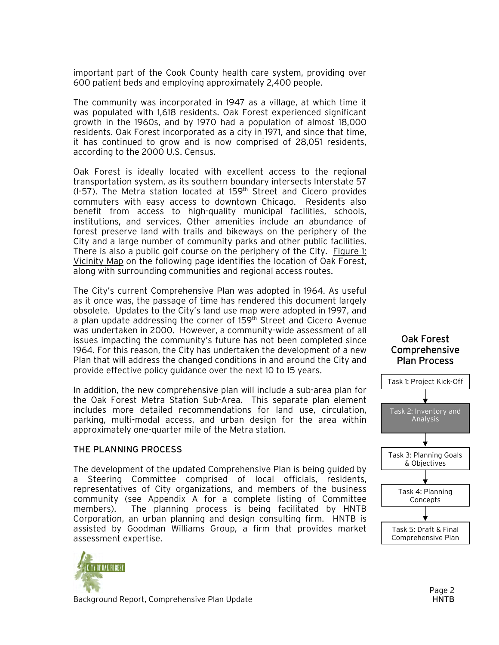important part of the Cook County health care system, providing over 600 patient beds and employing approximately 2,400 people.

The community was incorporated in 1947 as a village, at which time it was populated with 1,618 residents. Oak Forest experienced significant growth in the 1960s, and by 1970 had a population of almost 18,000 residents. Oak Forest incorporated as a city in 1971, and since that time, it has continued to grow and is now comprised of 28,051 residents, according to the 2000 U.S. Census.

Oak Forest is ideally located with excellent access to the regional transportation system, as its southern boundary intersects Interstate 57  $(I-57)$ . The Metra station located at 159<sup>th</sup> Street and Cicero provides commuters with easy access to downtown Chicago. Residents also benefit from access to high-quality municipal facilities, schools, institutions, and services. Other amenities include an abundance of forest preserve land with trails and bikeways on the periphery of the City and a large number of community parks and other public facilities. There is also a public golf course on the periphery of the City. Figure 1: Vicinity Map on the following page identifies the location of Oak Forest, along with surrounding communities and regional access routes.

The City's current Comprehensive Plan was adopted in 1964. As useful as it once was, the passage of time has rendered this document largely obsolete. Updates to the City's land use map were adopted in 1997, and a plan update addressing the corner of 159<sup>th</sup> Street and Cicero Avenue was undertaken in 2000. However, a community-wide assessment of all issues impacting the community's future has not been completed since 1964. For this reason, the City has undertaken the development of a new Plan that will address the changed conditions in and around the City and provide effective policy guidance over the next 10 to 15 years.

In addition, the new comprehensive plan will include a sub-area plan for the Oak Forest Metra Station Sub-Area. This separate plan element includes more detailed recommendations for land use, circulation, parking, multi-modal access, and urban design for the area within approximately one-quarter mile of the Metra station.

#### THE PLANNING PROCESS

The development of the updated Comprehensive Plan is being guided by a Steering Committee comprised of local officials, residents, representatives of City organizations, and members of the business community (see Appendix A for a complete listing of Committee members). The planning process is being facilitated by HNTB Corporation, an urban planning and design consulting firm. HNTB is assisted by Goodman Williams Group, a firm that provides market assessment expertise.



Oak Forest Comprehensive

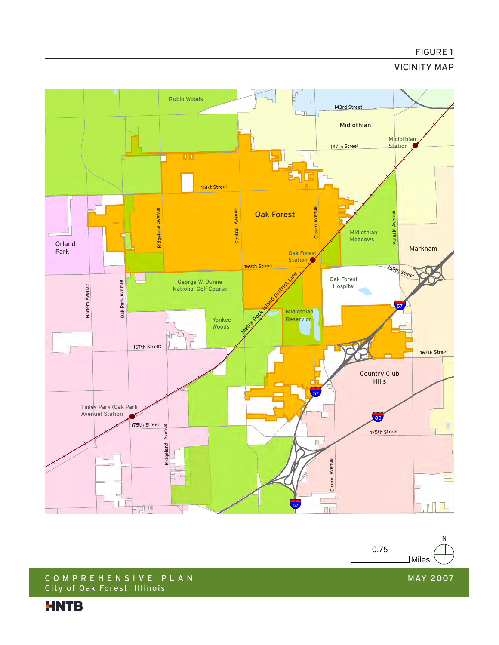#### FIGURE 1

#### VICINITY MAP





#### C O M P R E H E N S I V E P L A N City of Oak Forest, Illinois

**HNTB** 

MAY 2007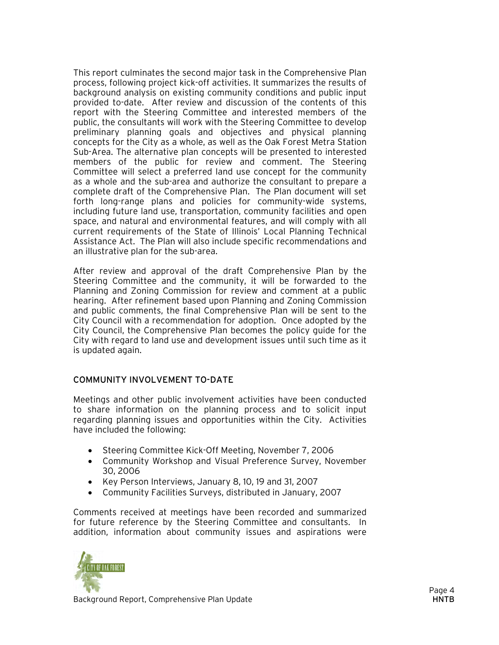This report culminates the second major task in the Comprehensive Plan process, following project kick-off activities. It summarizes the results of background analysis on existing community conditions and public input provided to-date. After review and discussion of the contents of this report with the Steering Committee and interested members of the public, the consultants will work with the Steering Committee to develop preliminary planning goals and objectives and physical planning concepts for the City as a whole, as well as the Oak Forest Metra Station Sub-Area. The alternative plan concepts will be presented to interested members of the public for review and comment. The Steering Committee will select a preferred land use concept for the community as a whole and the sub-area and authorize the consultant to prepare a complete draft of the Comprehensive Plan. The Plan document will set forth long-range plans and policies for community-wide systems, including future land use, transportation, community facilities and open space, and natural and environmental features, and will comply with all current requirements of the State of Illinois' Local Planning Technical Assistance Act. The Plan will also include specific recommendations and an illustrative plan for the sub-area.

After review and approval of the draft Comprehensive Plan by the Steering Committee and the community, it will be forwarded to the Planning and Zoning Commission for review and comment at a public hearing. After refinement based upon Planning and Zoning Commission and public comments, the final Comprehensive Plan will be sent to the City Council with a recommendation for adoption. Once adopted by the City Council, the Comprehensive Plan becomes the policy guide for the City with regard to land use and development issues until such time as it is updated again.

#### COMMUNITY INVOLVEMENT TO-DATE

Meetings and other public involvement activities have been conducted to share information on the planning process and to solicit input regarding planning issues and opportunities within the City. Activities have included the following:

- Steering Committee Kick-Off Meeting, November 7, 2006
- Community Workshop and Visual Preference Survey, November 30, 2006
- Key Person Interviews, January 8, 10, 19 and 31, 2007
- Community Facilities Surveys, distributed in January, 2007

Comments received at meetings have been recorded and summarized for future reference by the Steering Committee and consultants. In addition, information about community issues and aspirations were